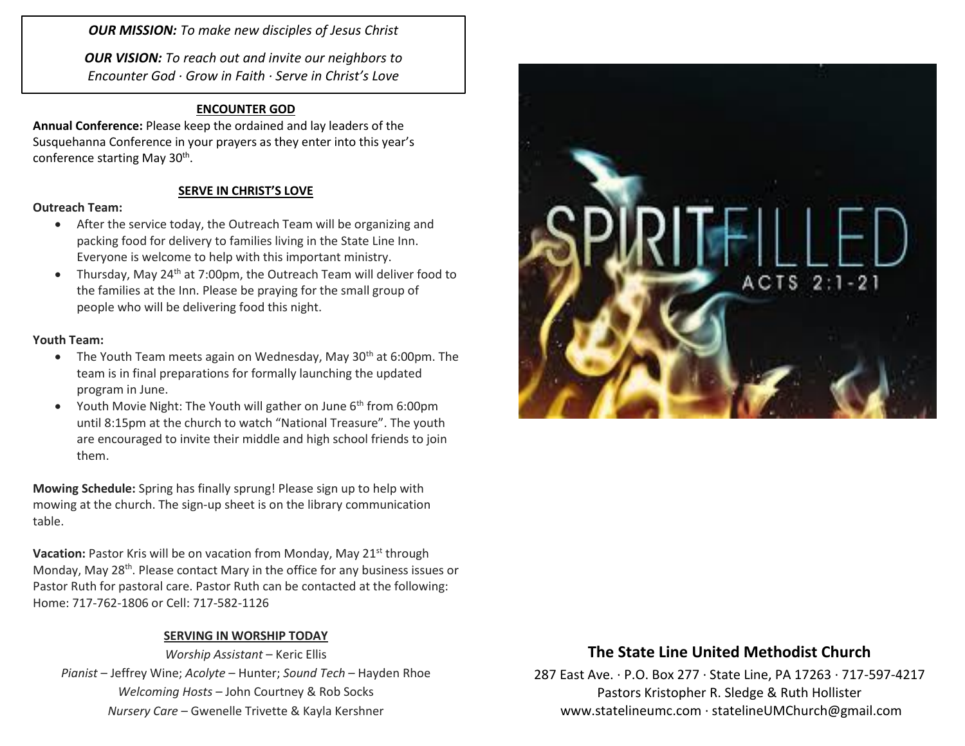*OUR MISSION: To make new disciples of Jesus Christ*

*OUR VISION: To reach out and invite our neighbors to Encounter God · Grow in Faith · Serve in Christ's Love*

### **ENCOUNTER GOD**

**Annual Conference:** Please keep the ordained and lay leaders of the Susquehanna Conference in your prayers as they enter into this year's conference starting May 30<sup>th</sup>.

### **SERVE IN CHRIST'S LOVE**

#### **Outreach Team:**

- After the service today, the Outreach Team will be organizing and packing food for delivery to families living in the State Line Inn. Everyone is welcome to help with this important ministry.
- Thursday, May 24<sup>th</sup> at 7:00pm, the Outreach Team will deliver food to the families at the Inn. Please be praying for the small group of people who will be delivering food this night.

#### **Youth Team:**

- The Youth Team meets again on Wednesday, May  $30<sup>th</sup>$  at 6:00pm. The team is in final preparations for formally launching the updated program in June.
- Youth Movie Night: The Youth will gather on June 6<sup>th</sup> from 6:00pm until 8:15pm at the church to watch "National Treasure". The youth are encouraged to invite their middle and high school friends to join them.

**Mowing Schedule:** Spring has finally sprung! Please sign up to help with mowing at the church. The sign-up sheet is on the library communication table.

**Vacation:** Pastor Kris will be on vacation from Monday, May 21<sup>st</sup> through Monday, May 28<sup>th</sup>. Please contact Mary in the office for any business issues or Pastor Ruth for pastoral care. Pastor Ruth can be contacted at the following: Home: 717-762-1806 or Cell: 717-582-1126

### **SERVING IN WORSHIP TODAY**

*Worship Assistant* – Keric Ellis *Pianist* – Jeffrey Wine; *Acolyte* – Hunter; *Sound Tech* – Hayden Rhoe *Welcoming Hosts* – John Courtney & Rob Socks *Nursery Care* – Gwenelle Trivette & Kayla Kershner



## **The State Line United Methodist Church**

287 East Ave. · P.O. Box 277 · State Line, PA 17263 · 717-597-4217 Pastors Kristopher R. Sledge & Ruth Hollister [www.statelineumc.com](http://www.statelineumc.com/) · statelineUMChurch@gmail.com